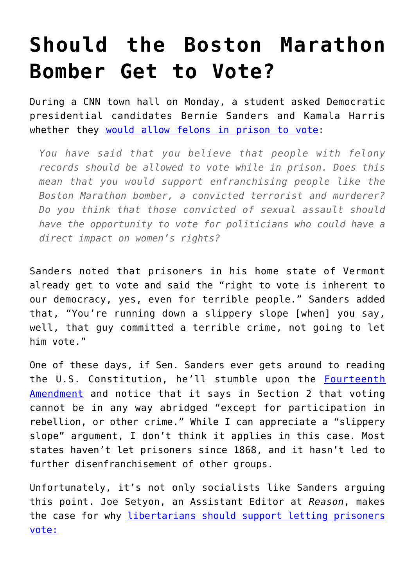## **[Should the Boston Marathon](https://intellectualtakeout.org/2019/04/should-the-boston-marathon-bomber-get-to-vote/) [Bomber Get to Vote?](https://intellectualtakeout.org/2019/04/should-the-boston-marathon-bomber-get-to-vote/)**

During a CNN town hall on Monday, a student asked Democratic presidential candidates Bernie Sanders and Kamala Harris whether they [would allow felons in prison to vote:](https://www.nationalreview.com/corner/bernie-sanders-kamala-harris-restore-boston-marathon-bombers-voting-rights/)

*You have said that you believe that people with felony records should be allowed to vote while in prison. Does this mean that you would support enfranchising people like the Boston Marathon bomber, a convicted terrorist and murderer? Do you think that those convicted of sexual assault should have the opportunity to vote for politicians who could have a direct impact on women's rights?*

Sanders noted that prisoners in his home state of Vermont already get to vote and said the "right to vote is inherent to our democracy, yes, even for terrible people." Sanders added that, "You're running down a slippery slope [when] you say, well, that guy committed a terrible crime, not going to let him vote."

One of these days, if Sen. Sanders ever gets around to reading the U.S. Constitution, he'll stumble upon the [Fourteenth](https://www.law.cornell.edu/constitution/amendmentxiv) [Amendment](https://www.law.cornell.edu/constitution/amendmentxiv) and notice that it says in Section 2 that voting cannot be in any way abridged "except for participation in rebellion, or other crime." While I can appreciate a "slippery slope" argument, I don't think it applies in this case. Most states haven't let prisoners since 1868, and it hasn't led to further disenfranchisement of other groups.

Unfortunately, it's not only socialists like Sanders arguing this point. Joe Setyon, an Assistant Editor at *Reason*, makes the case for why [libertarians should support letting prisoners](https://reason.com/2019/04/23/bernie-sanders-is-right-we-should-let-the-boston-marathon-bomber-vote/) [vote:](https://reason.com/2019/04/23/bernie-sanders-is-right-we-should-let-the-boston-marathon-bomber-vote/)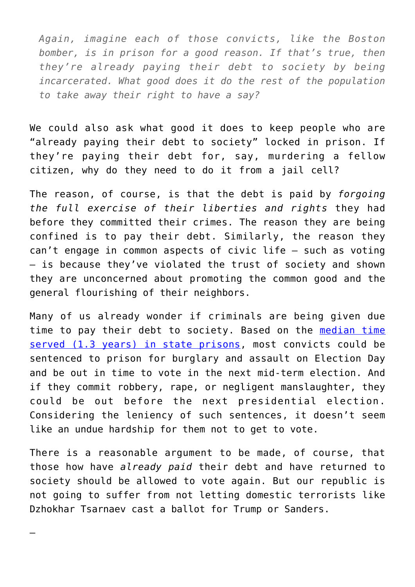*Again, imagine each of those convicts, like the Boston bomber, is in prison for a good reason. If that's true, then they're already paying their debt to society by being incarcerated. What good does it do the rest of the population to take away their right to have a say?*

We could also ask what good it does to keep people who are "already paying their debt to society" locked in prison. If they're paying their debt for, say, murdering a fellow citizen, why do they need to do it from a jail cell?

The reason, of course, is that the debt is paid by *forgoing the full exercise of their liberties and rights* they had before they committed their crimes. The reason they are being confined is to pay their debt. Similarly, the reason they can't engage in common aspects of civic life — such as voting — is because they've violated the trust of society and shown they are unconcerned about promoting the common good and the general flourishing of their neighbors.

Many of us already wonder if criminals are being given due time to pay their debt to society. Based on the [median time](https://blog.acton.org/archives/108018-7-figures-how-long-do-criminals-spend-in-prison.html) [served \(1.3 years\) in state prisons](https://blog.acton.org/archives/108018-7-figures-how-long-do-criminals-spend-in-prison.html), most convicts could be sentenced to prison for burglary and assault on Election Day and be out in time to vote in the next mid-term election. And if they commit robbery, rape, or negligent manslaughter, they could be out before the next presidential election. Considering the leniency of such sentences, it doesn't seem like an undue hardship for them not to get to vote.

There is a reasonable argument to be made, of course, that those how have *already paid* their debt and have returned to society should be allowed to vote again. But our republic is not going to suffer from not letting domestic terrorists like Dzhokhar Tsarnaev cast a ballot for Trump or Sanders.

—